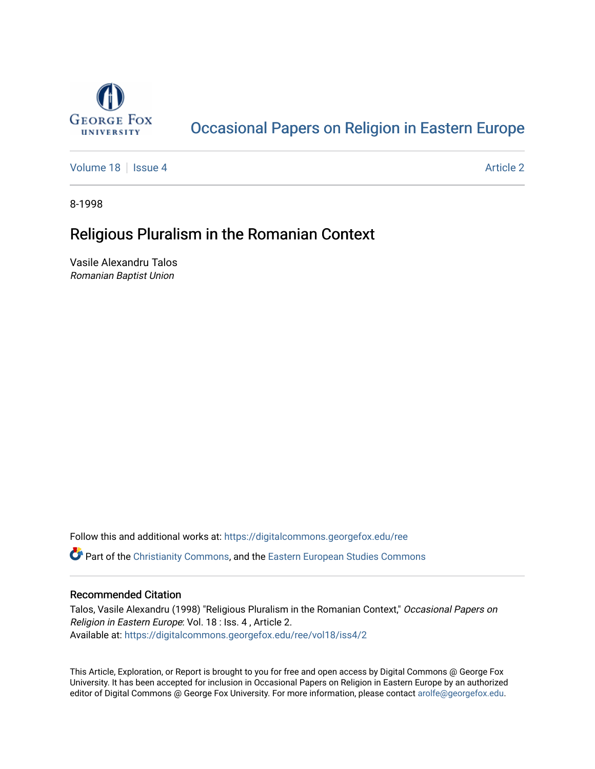

# [Occasional Papers on Religion in Eastern Europe](https://digitalcommons.georgefox.edu/ree)

[Volume 18](https://digitalcommons.georgefox.edu/ree/vol18) | [Issue 4](https://digitalcommons.georgefox.edu/ree/vol18/iss4) Article 2

8-1998

## Religious Pluralism in the Romanian Context

Vasile Alexandru Talos Romanian Baptist Union

Follow this and additional works at: [https://digitalcommons.georgefox.edu/ree](https://digitalcommons.georgefox.edu/ree?utm_source=digitalcommons.georgefox.edu%2Free%2Fvol18%2Fiss4%2F2&utm_medium=PDF&utm_campaign=PDFCoverPages) 

**C** Part of the [Christianity Commons,](http://network.bepress.com/hgg/discipline/1181?utm_source=digitalcommons.georgefox.edu%2Free%2Fvol18%2Fiss4%2F2&utm_medium=PDF&utm_campaign=PDFCoverPages) and the [Eastern European Studies Commons](http://network.bepress.com/hgg/discipline/362?utm_source=digitalcommons.georgefox.edu%2Free%2Fvol18%2Fiss4%2F2&utm_medium=PDF&utm_campaign=PDFCoverPages)

### Recommended Citation

Talos, Vasile Alexandru (1998) "Religious Pluralism in the Romanian Context," Occasional Papers on Religion in Eastern Europe: Vol. 18 : Iss. 4 , Article 2. Available at: [https://digitalcommons.georgefox.edu/ree/vol18/iss4/2](https://digitalcommons.georgefox.edu/ree/vol18/iss4/2?utm_source=digitalcommons.georgefox.edu%2Free%2Fvol18%2Fiss4%2F2&utm_medium=PDF&utm_campaign=PDFCoverPages) 

This Article, Exploration, or Report is brought to you for free and open access by Digital Commons @ George Fox University. It has been accepted for inclusion in Occasional Papers on Religion in Eastern Europe by an authorized editor of Digital Commons @ George Fox University. For more information, please contact [arolfe@georgefox.edu.](mailto:arolfe@georgefox.edu)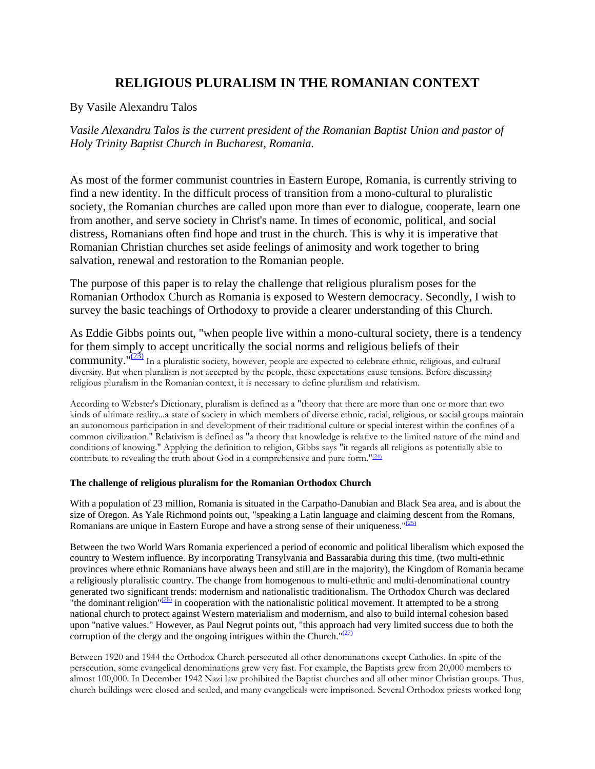## **RELIGIOUS PLURALISM IN THE ROMANIAN CONTEXT**

<span id="page-1-0"></span>By Vasile Alexandru Talos

*Vasile Alexandru Talos is the current president of the Romanian Baptist Union and pastor of Holy Trinity Baptist Church in Bucharest, Romania.*

As most of the former communist countries in Eastern Europe, Romania, is currently striving to find a new identity. In the difficult process of transition from a mono-cultural to pluralistic society, the Romanian churches are called upon more than ever to dialogue, cooperate, learn one from another, and serve society in Christ's name. In times of economic, political, and social distress, Romanians often find hope and trust in the church. This is why it is imperative that Romanian Christian churches set aside feelings of animosity and work together to bring salvation, renewal and restoration to the Romanian people.

The purpose of this paper is to relay the challenge that religious pluralism poses for the Romanian Orthodox Church as Romania is exposed to Western democracy. Secondly, I wish to survey the basic teachings of Orthodoxy to provide a clearer understanding of this Church.

As Eddie Gibbs points out, "when people live within a mono-cultural society, there is a tendency for them simply to accept uncritically the social norms and religious beliefs of their community." $(23)$  In a pluralistic society, however, people are expected to celebrate ethnic, religious, and cultural diversity. But when pluralism is not accepted by the people, these expectations cause tensions. Before discussing religious pluralism in the Romanian context, it is necessary to define pluralism and relativism.

According to Webster's Dictionary, pluralism is defined as a "theory that there are more than one or more than two kinds of ultimate reality...a state of society in which members of diverse ethnic, racial, religious, or social groups maintain an autonomous participation in and development of their traditional culture or special interest within the confines of a common civilization." Relativism is defined as "a theory that knowledge is relative to the limited nature of the mind and conditions of knowing." Applying the definition to religion, Gibbs says "it regards all religions as potentially able to contribute to revealing the truth about God in a comprehensive and pure form." $(24)$ 

### **The challenge of religious pluralism for the Romanian Orthodox Church**

With a population of 23 million, Romania is situated in the Carpatho-Danubian and Black Sea area, and is about the size of Oregon. As Yale Richmond points out, "speaking a Latin language and claiming descent from the Romans, Romanians are unique in Eastern Europe and have a strong sense of their uniqueness.  $\frac{0.251}{20}$ 

Between the two World Wars Romania experienced a period of economic and political liberalism which exposed the country to Western influence. By incorporating Transylvania and Bassarabia during this time, (two multi-ethnic provinces where ethnic Romanians have always been and still are in the majority), the Kingdom of Romania became a religiously pluralistic country. The change from homogenous to multi-ethnic and multi-denominational country generated two significant trends: modernism and nationalistic traditionalism. The Orthodox Church was declared "the dominant religion" $(26)$  in cooperation with the nationalistic political movement. It attempted to be a strong national church to protect against Western materialism and modernism, and also to build internal cohesion based upon "native values." However, as Paul Negrut points out, "this approach had very limited success due to both the corruption of the clergy and the ongoing intrigues within the Church." $(27)$ 

Between 1920 and 1944 the Orthodox Church persecuted all other denominations except Catholics. In spite of the persecution, some evangelical denominations grew very fast. For example, the Baptists grew from 20,000 members to almost 100,000. In December 1942 Nazi law prohibited the Baptist churches and all other minor Christian groups. Thus, church buildings were closed and sealed, and many evangelicals were imprisoned. Several Orthodox priests worked long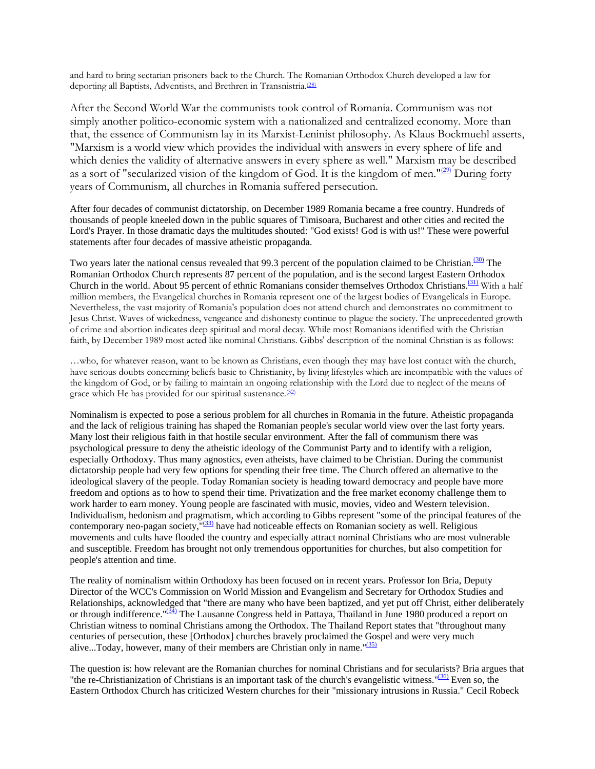and hard to bring sectarian prisoners back to the Church. The Romanian Orthodox Church developed a law for deporting all Baptists, Adventists, and Brethren in Transnistria.<sup>[\(28\)](#page-1-0)</sup>

After the Second World War the communists took control of Romania. Communism was not simply another politico-economic system with a nationalized and centralized economy. More than that, the essence of Communism lay in its Marxist-Leninist philosophy. As Klaus Bockmuehl asserts, "Marxism is a world view which provides the individual with answers in every sphere of life and which denies the validity of alternative answers in every sphere as well." Marxism may be described as a sort of "secularized vision of the kingdom of God. It is the kingdom of men."<sup>(29)</sup> During forty years of Communism, all churches in Romania suffered persecution.

After four decades of communist dictatorship, on December 1989 Romania became a free country. Hundreds of thousands of people kneeled down in the public squares of Timisoara, Bucharest and other cities and recited the Lord's Prayer. In those dramatic days the multitudes shouted: "God exists! God is with us!" These were powerful statements after four decades of massive atheistic propaganda.

Two years later the national census revealed that 99.3 percent of the population claimed to be Christian.<sup>(30)</sup> The Romanian Orthodox Church represents 87 percent of the population, and is the second largest Eastern Orthodox Church in the world. About 95 percent of ethnic Romanians consider themselves Orthodox Christians.<sup>[\(31\)](#page-1-0)</sup> With a half million members, the Evangelical churches in Romania represent one of the largest bodies of Evangelicals in Europe. Nevertheless, the vast majority of Romania's population does not attend church and demonstrates no commitment to Jesus Christ. Waves of wickedness, vengeance and dishonesty continue to plague the society. The unprecedented growth of crime and abortion indicates deep spiritual and moral decay. While most Romanians identified with the Christian faith, by December 1989 most acted like nominal Christians. Gibbs' description of the nominal Christian is as follows:

…who, for whatever reason, want to be known as Christians, even though they may have lost contact with the church, have serious doubts concerning beliefs basic to Christianity, by living lifestyles which are incompatible with the values of the kingdom of God, or by failing to maintain an ongoing relationship with the Lord due to neglect of the means of grace which He has provided for our spiritual sustenance.<sup>[\(32\)](#page-1-0)</sup>

Nominalism is expected to pose a serious problem for all churches in Romania in the future. Atheistic propaganda and the lack of religious training has shaped the Romanian people's secular world view over the last forty years. Many lost their religious faith in that hostile secular environment. After the fall of communism there was psychological pressure to deny the atheistic ideology of the Communist Party and to identify with a religion, especially Orthodoxy. Thus many agnostics, even atheists, have claimed to be Christian. During the communist dictatorship people had very few options for spending their free time. The Church offered an alternative to the ideological slavery of the people. Today Romanian society is heading toward democracy and people have more freedom and options as to how to spend their time. Privatization and the free market economy challenge them to work harder to earn money. Young people are fascinated with music, movies, video and Western television. Individualism, hedonism and pragmatism, which according to Gibbs represent "some of the principal features of the contemporary neo-pagan society, $\frac{1}{33}$  have had noticeable effects on Romanian society as well. Religious movements and cults have flooded the country and especially attract nominal Christians who are most vulnerable and susceptible. Freedom has brought not only tremendous opportunities for churches, but also competition for people's attention and time.

The reality of nominalism within Orthodoxy has been focused on in recent years. Professor Ion Bria, Deputy Director of the WCC's Commission on World Mission and Evangelism and Secretary for Orthodox Studies and Relationships, acknowledged that "there are many who have been baptized, and yet put off Christ, either deliberately or through indifference."<sup>(34)</sup> The Lausanne Congress held in Pattaya, Thailand in June 1980 produced a report on Christian witness to nominal Christians among the Orthodox. The Thailand Report states that "throughout many centuries of persecution, these [Orthodox] churches bravely proclaimed the Gospel and were very much alive...Today, however, many of their members are Christian only in name.  $\frac{n(35)}{2}$ 

The question is: how relevant are the Romanian churches for nominal Christians and for secularists? Bria argues that "the re-Christianization of Christians is an important task of the church's evangelistic witness.["\(36\)](#page-1-0) Even so, the Eastern Orthodox Church has criticized Western churches for their "missionary intrusions in Russia." Cecil Robeck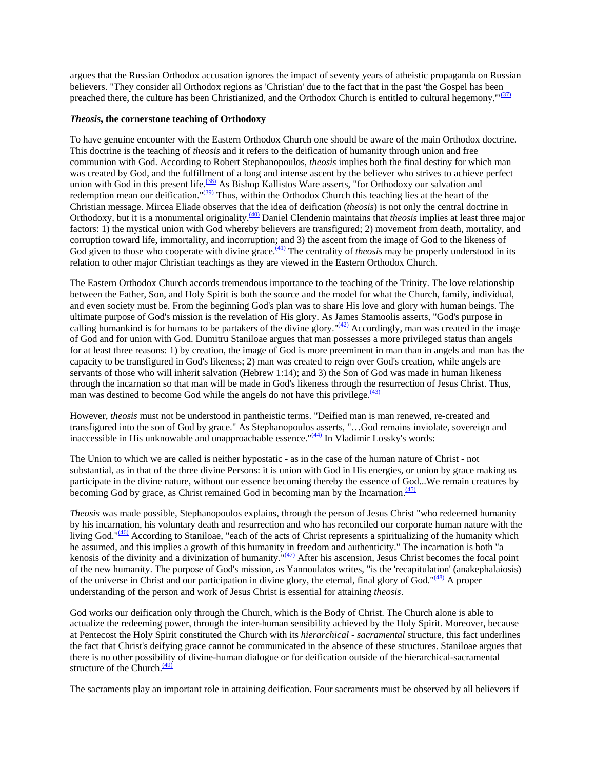argues that the Russian Orthodox accusation ignores the impact of seventy years of atheistic propaganda on Russian believers. "They consider all Orthodox regions as 'Christian' due to the fact that in the past 'the Gospel has been preached there, the culture has been Christianized, and the Orthodox Church is entitled to cultural hegemony. $\frac{1}{(37)}$  $\frac{1}{(37)}$  $\frac{1}{(37)}$ 

### *Theosis***, the cornerstone teaching of Orthodoxy**

To have genuine encounter with the Eastern Orthodox Church one should be aware of the main Orthodox doctrine. This doctrine is the teaching of *theosis* and it refers to the deification of humanity through union and free communion with God. According to Robert Stephanopoulos, *theosis* implies both the final destiny for which man was created by God, and the fulfillment of a long and intense ascent by the believer who strives to achieve perfect union with God in this present life.<sup>(38)</sup> As Bishop Kallistos Ware asserts, "for Orthodoxy our salvation and redemption mean our deification."<sup>(39)</sup> Thus, within the Orthodox Church this teaching lies at the heart of the Christian message. Mircea Eliade observes that the idea of deification (*theosis*) is not only the central doctrine in Orthodoxy, but it is a monumental originality[.\(40\)](#page-1-0) Daniel Clendenin maintains that *theosis* implies at least three major factors: 1) the mystical union with God whereby believers are transfigured; 2) movement from death, mortality, and corruption toward life, immortality, and incorruption; and 3) the ascent from the image of God to the likeness of God given to those who cooperate with divine grace.<sup>(41)</sup> The centrality of *theosis* may be properly understood in its relation to other major Christian teachings as they are viewed in the Eastern Orthodox Church.

The Eastern Orthodox Church accords tremendous importance to the teaching of the Trinity. The love relationship between the Father, Son, and Holy Spirit is both the source and the model for what the Church, family, individual, and even society must be. From the beginning God's plan was to share His love and glory with human beings. The ultimate purpose of God's mission is the revelation of His glory. As James Stamoolis asserts, "God's purpose in calling humankind is for humans to be partakers of the divine glory." $\frac{(42)}{2}$  Accordingly, man was created in the image of God and for union with God. Dumitru Staniloae argues that man possesses a more privileged status than angels for at least three reasons: 1) by creation, the image of God is more preeminent in man than in angels and man has the capacity to be transfigured in God's likeness; 2) man was created to reign over God's creation, while angels are servants of those who will inherit salvation (Hebrew 1:14); and 3) the Son of God was made in human likeness through the incarnation so that man will be made in God's likeness through the resurrection of Jesus Christ. Thus, man was destined to become God while the angels do not have this privilege.  $\frac{(43)}{2}$  $\frac{(43)}{2}$  $\frac{(43)}{2}$ 

However, *theosis* must not be understood in pantheistic terms. "Deified man is man renewed, re-created and transfigured into the son of God by grace." As Stephanopoulos asserts, "…God remains inviolate, sovereign and inaccessible in His unknowable and unapproachable essence."[\(44\)](#page-1-0) In Vladimir Lossky's words:

The Union to which we are called is neither hypostatic - as in the case of the human nature of Christ - not substantial, as in that of the three divine Persons: it is union with God in His energies, or union by grace making us participate in the divine nature, without our essence becoming thereby the essence of God...We remain creatures by becoming God by grace, as Christ remained God in becoming man by the Incarnation. $\frac{(45)}{2}$ 

*Theosis* was made possible, Stephanopoulos explains, through the person of Jesus Christ "who redeemed humanity by his incarnation, his voluntary death and resurrection and who has reconciled our corporate human nature with the living God."<sup>[\(46\)](#page-1-0)</sup> According to Staniloae, "each of the acts of Christ represents a spiritualizing of the humanity which he assumed, and this implies a growth of this humanity in freedom and authenticity." The incarnation is both "a kenosis of the divinity and a divinization of humanity."[\(47\)](#page-1-0) After his ascension, Jesus Christ becomes the focal point of the new humanity. The purpose of God's mission, as Yannoulatos writes, "is the 'recapitulation' (anakephalaiosis) of the universe in Christ and our participation in divine glory, the eternal, final glory of God."<sup>(48)</sup> A proper understanding of the person and work of Jesus Christ is essential for attaining *theosis*.

God works our deification only through the Church, which is the Body of Christ. The Church alone is able to actualize the redeeming power, through the inter-human sensibility achieved by the Holy Spirit. Moreover, because at Pentecost the Holy Spirit constituted the Church with its *hierarchical* - *sacramental* structure, this fact underlines the fact that Christ's deifying grace cannot be communicated in the absence of these structures. Staniloae argues that there is no other possibility of divine-human dialogue or for deification outside of the hierarchical-sacramental structure of the Church. $\frac{(49)}{2}$ 

The sacraments play an important role in attaining deification. Four sacraments must be observed by all believers if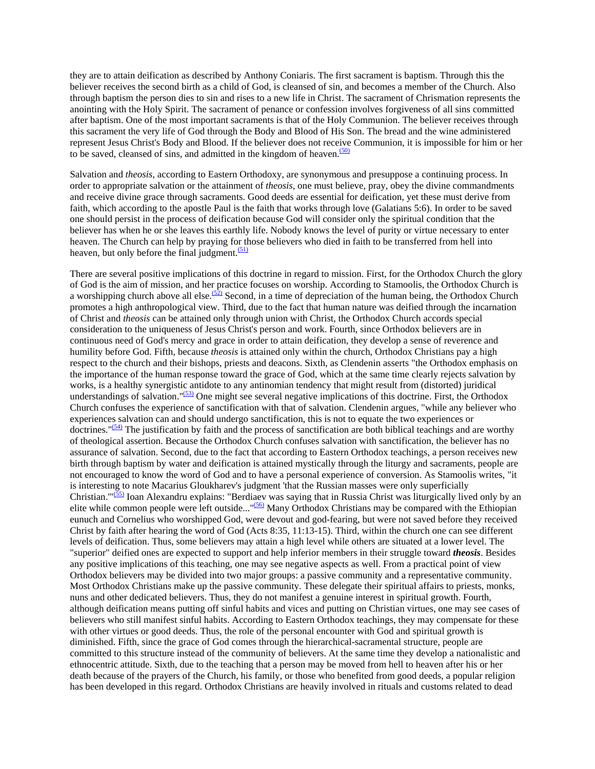they are to attain deification as described by Anthony Coniaris. The first sacrament is baptism. Through this the believer receives the second birth as a child of God, is cleansed of sin, and becomes a member of the Church. Also through baptism the person dies to sin and rises to a new life in Christ. The sacrament of Chrismation represents the anointing with the Holy Spirit. The sacrament of penance or confession involves forgiveness of all sins committed after baptism. One of the most important sacraments is that of the Holy Communion. The believer receives through this sacrament the very life of God through the Body and Blood of His Son. The bread and the wine administered represent Jesus Christ's Body and Blood. If the believer does not receive Communion, it is impossible for him or her to be saved, cleansed of sins, and admitted in the kingdom of heaven. $(50)$ 

Salvation and *theosis*, according to Eastern Orthodoxy, are synonymous and presuppose a continuing process. In order to appropriate salvation or the attainment of *theosis,* one must believe, pray, obey the divine commandments and receive divine grace through sacraments. Good deeds are essential for deification, yet these must derive from faith, which according to the apostle Paul is the faith that works through love (Galatians 5:6). In order to be saved one should persist in the process of deification because God will consider only the spiritual condition that the believer has when he or she leaves this earthly life. Nobody knows the level of purity or virtue necessary to enter heaven. The Church can help by praying for those believers who died in faith to be transferred from hell into heaven, but only before the final judgment. $\frac{(51)}{2}$  $\frac{(51)}{2}$  $\frac{(51)}{2}$ 

There are several positive implications of this doctrine in regard to mission. First, for the Orthodox Church the glory of God is the aim of mission, and her practice focuses on worship. According to Stamoolis, the Orthodox Church is a worshipping church above all else.<sup>(52)</sup> Second, in a time of depreciation of the human being, the Orthodox Church promotes a high anthropological view. Third, due to the fact that human nature was deified through the incarnation of Christ and *theosis* can be attained only through union with Christ, the Orthodox Church accords special consideration to the uniqueness of Jesus Christ's person and work. Fourth, since Orthodox believers are in continuous need of God's mercy and grace in order to attain deification, they develop a sense of reverence and humility before God. Fifth, because *theosis* is attained only within the church, Orthodox Christians pay a high respect to the church and their bishops, priests and deacons. Sixth, as Clendenin asserts "the Orthodox emphasis on the importance of the human response toward the grace of God, which at the same time clearly rejects salvation by works, is a healthy synergistic antidote to any antinomian tendency that might result from (distorted) juridical understandings of salvation."<sup>[\(53\)](#page-1-0)</sup> One might see several negative implications of this doctrine. First, the Orthodox Church confuses the experience of sanctification with that of salvation. Clendenin argues, "while any believer who experiences salvation can and should undergo sanctification, this is not to equate the two experiences or doctrines." $(54)$  The justification by faith and the process of sanctification are both biblical teachings and are worthy of theological assertion. Because the Orthodox Church confuses salvation with sanctification, the believer has no assurance of salvation. Second, due to the fact that according to Eastern Orthodox teachings, a person receives new birth through baptism by water and deification is attained mystically through the liturgy and sacraments, people are not encouraged to know the word of God and to have a personal experience of conversion. As Stamoolis writes, "it is interesting to note Macarius Gloukharev's judgment 'that the Russian masses were only superficially Christian.'"<sup>(55)</sup> Ioan Alexandru explains: "Berdiaev was saying that in Russia Christ was liturgically lived only by an elite while common people were left outside..."<sup>(56)</sup> Many Orthodox Christians may be compared with the Ethiopian eunuch and Cornelius who worshipped God, were devout and god-fearing, but were not saved before they received Christ by faith after hearing the word of God (Acts 8:35, 11:13-15). Third, within the church one can see different levels of deification. Thus, some believers may attain a high level while others are situated at a lower level. The "superior" deified ones are expected to support and help inferior members in their struggle toward *theosis*. Besides any positive implications of this teaching, one may see negative aspects as well. From a practical point of view Orthodox believers may be divided into two major groups: a passive community and a representative community. Most Orthodox Christians make up the passive community. These delegate their spiritual affairs to priests, monks, nuns and other dedicated believers. Thus, they do not manifest a genuine interest in spiritual growth. Fourth, although deification means putting off sinful habits and vices and putting on Christian virtues, one may see cases of believers who still manifest sinful habits. According to Eastern Orthodox teachings, they may compensate for these with other virtues or good deeds. Thus, the role of the personal encounter with God and spiritual growth is diminished. Fifth, since the grace of God comes through the hierarchical-sacramental structure, people are committed to this structure instead of the community of believers. At the same time they develop a nationalistic and ethnocentric attitude. Sixth, due to the teaching that a person may be moved from hell to heaven after his or her death because of the prayers of the Church, his family, or those who benefited from good deeds, a popular religion has been developed in this regard. Orthodox Christians are heavily involved in rituals and customs related to dead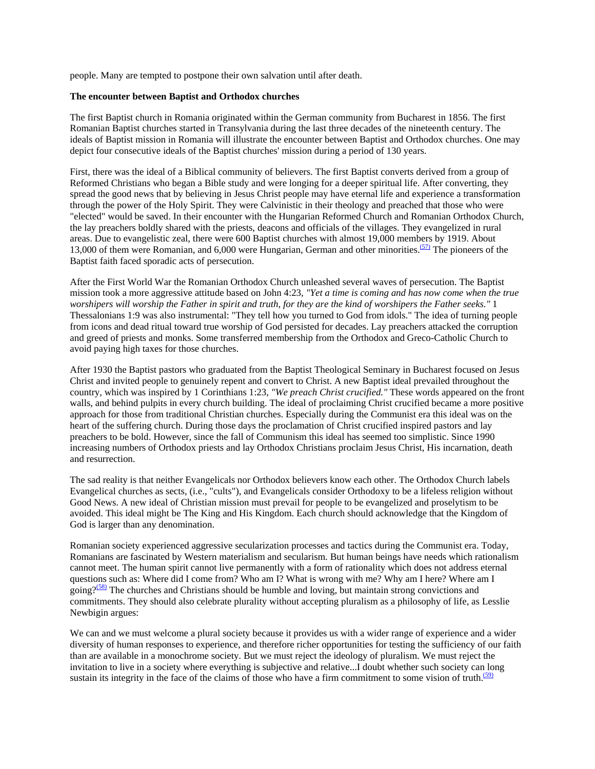people. Many are tempted to postpone their own salvation until after death.

### **The encounter between Baptist and Orthodox churches**

The first Baptist church in Romania originated within the German community from Bucharest in 1856. The first Romanian Baptist churches started in Transylvania during the last three decades of the nineteenth century. The ideals of Baptist mission in Romania will illustrate the encounter between Baptist and Orthodox churches. One may depict four consecutive ideals of the Baptist churches' mission during a period of 130 years.

First, there was the ideal of a Biblical community of believers. The first Baptist converts derived from a group of Reformed Christians who began a Bible study and were longing for a deeper spiritual life. After converting, they spread the good news that by believing in Jesus Christ people may have eternal life and experience a transformation through the power of the Holy Spirit. They were Calvinistic in their theology and preached that those who were "elected" would be saved. In their encounter with the Hungarian Reformed Church and Romanian Orthodox Church, the lay preachers boldly shared with the priests, deacons and officials of the villages. They evangelized in rural areas. Due to evangelistic zeal, there were 600 Baptist churches with almost 19,000 members by 1919. About 13,000 of them were Romanian, and 6,000 were Hungarian, German and other minorities.<sup>(57)</sup> The pioneers of the Baptist faith faced sporadic acts of persecution.

After the First World War the Romanian Orthodox Church unleashed several waves of persecution. The Baptist mission took a more aggressive attitude based on John 4:23*, "Yet a time is coming and has now come when the true worshipers will worship the Father in spirit and truth, for they are the kind of worshipers the Father seeks."* 1 Thessalonians 1:9 was also instrumental: "They tell how you turned to God from idols." The idea of turning people from icons and dead ritual toward true worship of God persisted for decades. Lay preachers attacked the corruption and greed of priests and monks. Some transferred membership from the Orthodox and Greco-Catholic Church to avoid paying high taxes for those churches.

After 1930 the Baptist pastors who graduated from the Baptist Theological Seminary in Bucharest focused on Jesus Christ and invited people to genuinely repent and convert to Christ. A new Baptist ideal prevailed throughout the country, which was inspired by 1 Corinthians 1:23*, "We preach Christ crucified."* These words appeared on the front walls, and behind pulpits in every church building. The ideal of proclaiming Christ crucified became a more positive approach for those from traditional Christian churches. Especially during the Communist era this ideal was on the heart of the suffering church. During those days the proclamation of Christ crucified inspired pastors and lay preachers to be bold. However, since the fall of Communism this ideal has seemed too simplistic. Since 1990 increasing numbers of Orthodox priests and lay Orthodox Christians proclaim Jesus Christ, His incarnation, death and resurrection.

The sad reality is that neither Evangelicals nor Orthodox believers know each other. The Orthodox Church labels Evangelical churches as sects, (i.e., "cults"), and Evangelicals consider Orthodoxy to be a lifeless religion without Good News. A new ideal of Christian mission must prevail for people to be evangelized and proselytism to be avoided. This ideal might be The King and His Kingdom. Each church should acknowledge that the Kingdom of God is larger than any denomination.

Romanian society experienced aggressive secularization processes and tactics during the Communist era. Today, Romanians are fascinated by Western materialism and secularism. But human beings have needs which rationalism cannot meet. The human spirit cannot live permanently with a form of rationality which does not address eternal questions such as: Where did I come from? Who am I? What is wrong with me? Why am I here? Where am I going? $(58)$  The churches and Christians should be humble and loving, but maintain strong convictions and commitments. They should also celebrate plurality without accepting pluralism as a philosophy of life, as Lesslie Newbigin argues:

We can and we must welcome a plural society because it provides us with a wider range of experience and a wider diversity of human responses to experience, and therefore richer opportunities for testing the sufficiency of our faith than are available in a monochrome society. But we must reject the ideology of pluralism. We must reject the invitation to live in a society where everything is subjective and relative...I doubt whether such society can long sustain its integrity in the face of the claims of those who have a firm commitment to some vision of truth. $(59)$